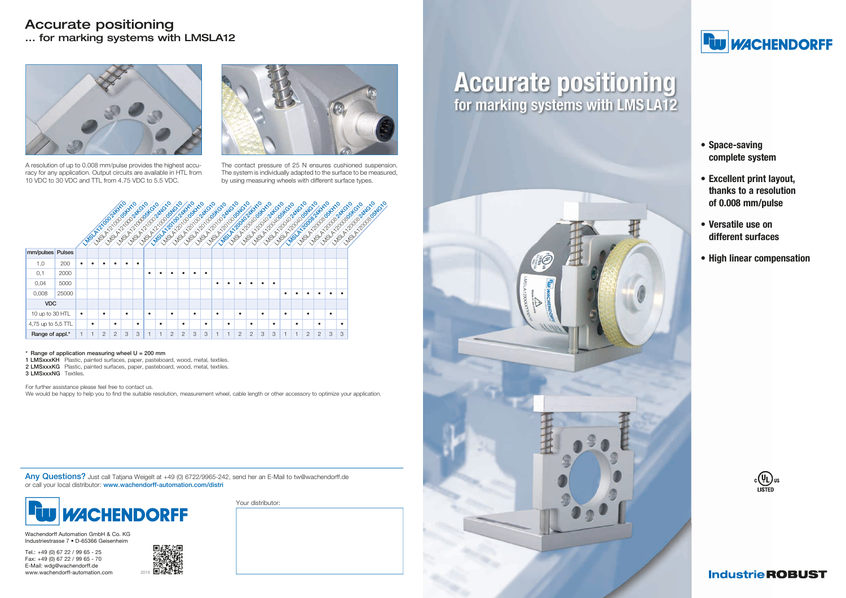- Space-saving complete system
- Excellent print layout, thanks to a resolution of 0.008 mm/pulse
- Versatile use on different surfaces
- High linear compensation





Wachendorff Automation GmbH & Co. KG Industriestrasse 7 • D-65366 Geisenheim

- 1 LMSxxxKH Plastic, painted surfaces, paper, pasteboard, wood, metal, textiles.
- 2 LMSxxxKG Plastic, painted surfaces, paper, pasteboard, wood, metal, textiles.
- 3 LMSxxxNG Textiles.

Tel.: +49 (0) 67 22 / 99 65 - 25 Fax: +49 (0) 67 22 / 99 65 - 70 E-Mail: wdg@wachendorff.de www.wachendorff-automation.com

Any Questions? Just call Tatjana Weigelt at +49 (0) 6722/9965-242, send her an E-Mail to tw@wachendorff.de or call your local distributor: www.wachendorff-automation.com/distri



Your distributor:

# **Accurate positioning**<br>for marking systems with LMS LA12





# **FW WACHENDORFF**

For further assistance please feel free to contact us.

We would be happy to help you to find the suitable resolution, measurement wheel, cable length or other accessory to optimize your application.

### Accurate positioning ... for marking systems with LMSLA12



A resolution of up to 0.008 mm/pulse provides the highest accuracy for any application. Output circuits are available in HTL from 10 VDC to 30 VDC and TTL from 4.75 VDC to 5.5 VDC.



The contact pressure of 25 N ensures cushioned suspension. The system is individually adapted to the surface to be measured, by using measuring wheels with different surface types.



#### $*$  Range of application measuring wheel  $U = 200$  mm